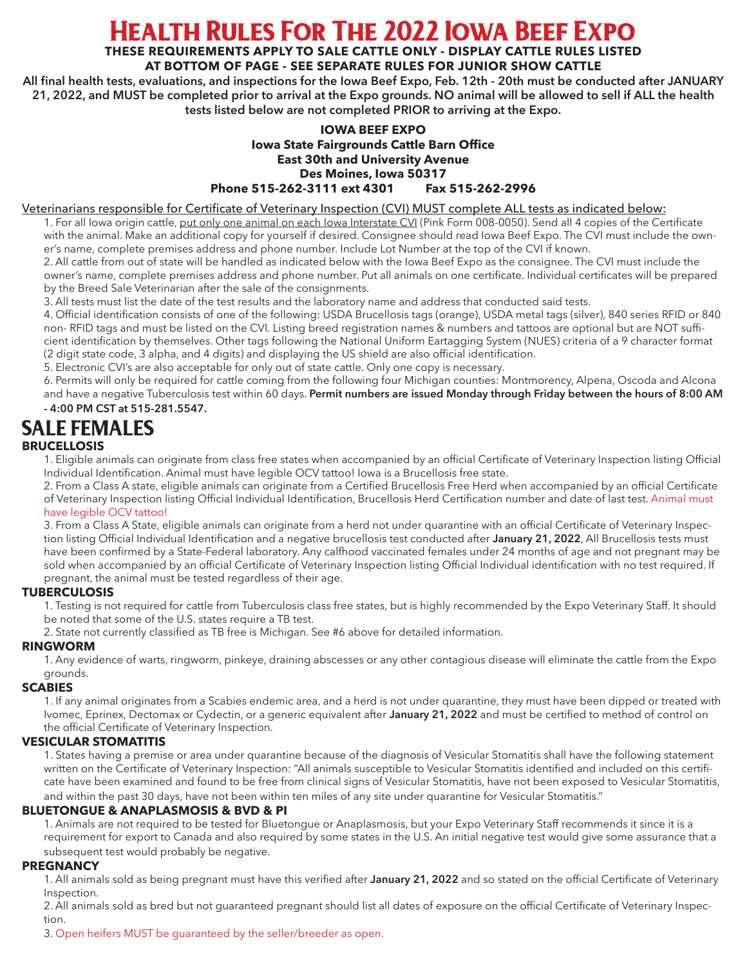## Health Rules For The 2022 Iowa Beef Expo

**THESE REQUIREMENTS APPLY TO SALE CATTLE ONLY - DISPLAY CATTLE RULES LISTED** 

## **AT BOTTOM OF PAGE - SEE SEPARATE RULES FOR JUNIOR SHOW CATTLE**

**All final health tests, evaluations, and inspections for the Iowa Beef Expo, Feb. 12th - 20th must be conducted after JANUARY 21, 2022, and MUST be completed prior to arrival at the Expo grounds. NO animal will be allowed to sell if ALL the health tests listed below are not completed PRIOR to arriving at the Expo.**

### **IOWA BEEF EXPO Iowa State Fairgrounds Cattle Barn Office East 30th and University Avenue Des Moines, Iowa 50317 Phone 515-262-3111 ext 4301 Fax 515-262-2996**

#### Veterinarians responsible for Certificate of Veterinary Inspection (CVI) MUST complete ALL tests as indicated below:

1. For all Iowa origin cattle, put only one animal on each Iowa Interstate CVI (Pink Form 008-0050). Send all 4 copies of the Certificate with the animal. Make an additional copy for yourself if desired. Consignee should read Iowa Beef Expo. The CVI must include the owner's name, complete premises address and phone number. Include Lot Number at the top of the CVI if known.

2. All cattle from out of state will be handled as indicated below with the Iowa Beef Expo as the consignee. The CVI must include the owner's name, complete premises address and phone number. Put all animals on one certificate. Individual certificates will be prepared by the Breed Sale Veterinarian after the sale of the consignments.

3. All tests must list the date of the test results and the laboratory name and address that conducted said tests.

4. Official identification consists of one of the following: USDA Brucellosis tags (orange), USDA metal tags (silver), 840 series RFID or 840 non- RFID tags and must be listed on the CVI. Listing breed registration names & numbers and tattoos are optional but are NOT sufficient identification by themselves. Other tags following the National Uniform Eartagging System (NUES) criteria of a 9 character format (2 digit state code, 3 alpha, and 4 digits) and displaying the US shield are also official identification.

5. Electronic CVI's are also acceptable for only out of state cattle. Only one copy is necessary.

6. Permits will only be required for cattle coming from the following four Michigan counties: Montmorency, Alpena, Oscoda and Alcona and have a negative Tuberculosis test within 60 days. **Permit numbers are issued Monday through Friday between the hours of 8:00 AM - 4:00 PM CST at 515-281.5547.**

# SALE FEMALES

### **BRUCELLOSIS**

1. Eligible animals can originate from class free states when accompanied by an official Certificate of Veterinary Inspection listing Official Individual Identification. Animal must have legible OCV tattoo! Iowa is a Brucellosis free state.

2. From a Class A state, eligible animals can originate from a Certified Brucellosis Free Herd when accompanied by an official Certificate of Veterinary Inspection listing Official Individual Identification, Brucellosis Herd Certification number and date of last test. Animal must have legible OCV tattoo!

3. From a Class A State, eligible animals can originate from a herd not under quarantine with an official Certificate of Veterinary Inspection listing Official Individual Identification and a negative brucellosis test conducted after **January 21, 2022**, All Brucellosis tests must have been confirmed by a State-Federal laboratory. Any calfhood vaccinated females under 24 months of age and not pregnant may be sold when accompanied by an official Certificate of Veterinary Inspection listing Official Individual identification with no test required. If pregnant, the animal must be tested regardless of their age.

### **TUBERCULOSIS**

1. Testing is not required for cattle from Tuberculosis class free states, but is highly recommended by the Expo Veterinary Staff. It should be noted that some of the U.S. states require a TB test.

2. State not currently classified as TB free is Michigan. See #6 above for detailed information.

#### **RINGWORM**

1. Any evidence of warts, ringworm, pinkeye, draining abscesses or any other contagious disease will eliminate the cattle from the Expo grounds.

#### **SCABIES**

1. If any animal originates from a Scabies endemic area, and a herd is not under quarantine, they must have been dipped or treated with Ivomec, Eprinex, Dectomax or Cydectin, or a generic equivalent after **January 21, 2022** and must be certified to method of control on the official Certificate of Veterinary Inspection.

#### **VESICULAR STOMATITIS**

1. States having a premise or area under quarantine because of the diagnosis of Vesicular Stomatitis shall have the following statement written on the Certificate of Veterinary Inspection: "All animals susceptible to Vesicular Stomatitis identified and included on this certificate have been examined and found to be free from clinical signs of Vesicular Stomatitis, have not been exposed to Vesicular Stomatitis, and within the past 30 days, have not been within ten miles of any site under quarantine for Vesicular Stomatitis."

#### **BLUETONGUE & ANAPLASMOSIS & BVD & PI**

1. Animals are not required to be tested for Bluetongue or Anaplasmosis, but your Expo Veterinary Staff recommends it since it is a requirement for export to Canada and also required by some states in the U.S. An initial negative test would give some assurance that a subsequent test would probably be negative.

### **PREGNANCY**

1. All animals sold as being pregnant must have this verified after **January 21, 2022** and so stated on the official Certificate of Veterinary Inspection.

2. All animals sold as bred but not guaranteed pregnant should list all dates of exposure on the official Certificate of Veterinary Inspection.

3. Open heifers MUST be guaranteed by the seller/breeder as open.